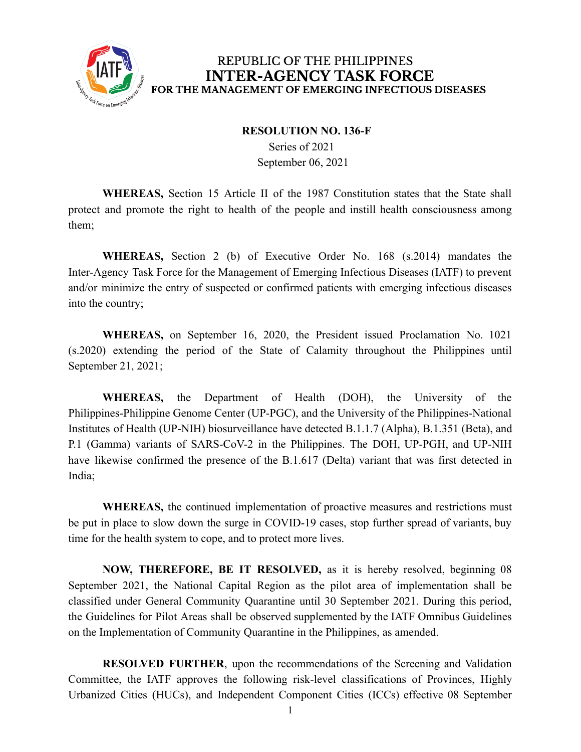

#### **RESOLUTION NO. 136-F**

Series of 2021 September 06, 2021

**WHEREAS,** Section 15 Article II of the 1987 Constitution states that the State shall protect and promote the right to health of the people and instill health consciousness among them;

**WHEREAS,** Section 2 (b) of Executive Order No. 168 (s.2014) mandates the Inter-Agency Task Force for the Management of Emerging Infectious Diseases (IATF) to prevent and/or minimize the entry of suspected or confirmed patients with emerging infectious diseases into the country;

**WHEREAS,** on September 16, 2020, the President issued Proclamation No. 1021 (s.2020) extending the period of the State of Calamity throughout the Philippines until September 21, 2021;

**WHEREAS,** the Department of Health (DOH), the University of the Philippines-Philippine Genome Center (UP-PGC), and the University of the Philippines-National Institutes of Health (UP-NIH) biosurveillance have detected B.1.1.7 (Alpha), B.1.351 (Beta), and P.1 (Gamma) variants of SARS-CoV-2 in the Philippines. The DOH, UP-PGH, and UP-NIH have likewise confirmed the presence of the B.1.617 (Delta) variant that was first detected in India;

**WHEREAS,** the continued implementation of proactive measures and restrictions must be put in place to slow down the surge in COVID-19 cases, stop further spread of variants, buy time for the health system to cope, and to protect more lives.

**NOW, THEREFORE, BE IT RESOLVED,** as it is hereby resolved, beginning 08 September 2021, the National Capital Region as the pilot area of implementation shall be classified under General Community Quarantine until 30 September 2021. During this period, the Guidelines for Pilot Areas shall be observed supplemented by the IATF Omnibus Guidelines on the Implementation of Community Quarantine in the Philippines, as amended.

**RESOLVED FURTHER**, upon the recommendations of the Screening and Validation Committee, the IATF approves the following risk-level classifications of Provinces, Highly Urbanized Cities (HUCs), and Independent Component Cities (ICCs) effective 08 September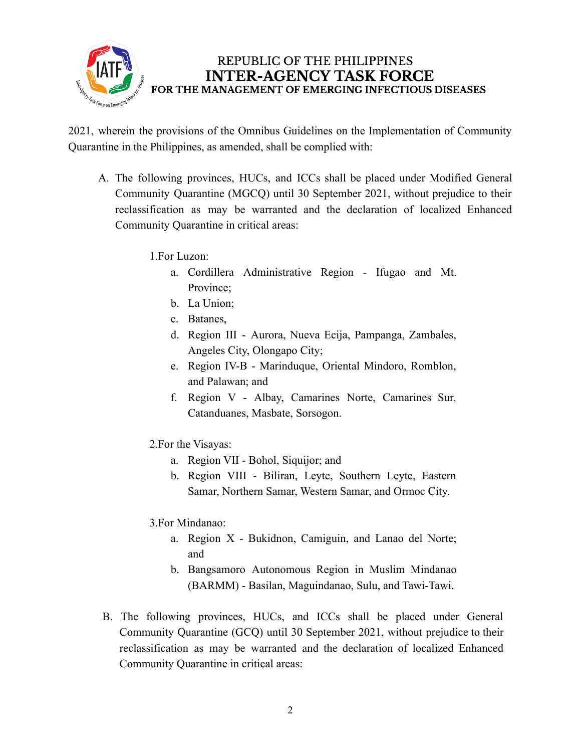

2021, wherein the provisions of the Omnibus Guidelines on the Implementation of Community Quarantine in the Philippines, as amended, shall be complied with:

- A. The following provinces, HUCs, and ICCs shall be placed under Modified General Community Quarantine (MGCQ) until 30 September 2021, without prejudice to their reclassification as may be warranted and the declaration of localized Enhanced Community Quarantine in critical areas:
	- 1.For Luzon:
		- a. Cordillera Administrative Region Ifugao and Mt. Province;
		- b. La Union;
		- c. Batanes,
		- d. Region III Aurora, Nueva Ecija, Pampanga, Zambales, Angeles City, Olongapo City;
		- e. Region IV-B Marinduque, Oriental Mindoro, Romblon, and Palawan; and
		- f. Region V Albay, Camarines Norte, Camarines Sur, Catanduanes, Masbate, Sorsogon.
	- 2.For the Visayas:
		- a. Region VII Bohol, Siquijor; and
		- b. Region VIII Biliran, Leyte, Southern Leyte, Eastern Samar, Northern Samar, Western Samar, and Ormoc City.
	- 3.For Mindanao:
		- a. Region X Bukidnon, Camiguin, and Lanao del Norte; and
		- b. Bangsamoro Autonomous Region in Muslim Mindanao (BARMM) - Basilan, Maguindanao, Sulu, and Tawi-Tawi.
- B. The following provinces, HUCs, and ICCs shall be placed under General Community Quarantine (GCQ) until 30 September 2021, without prejudice to their reclassification as may be warranted and the declaration of localized Enhanced Community Quarantine in critical areas: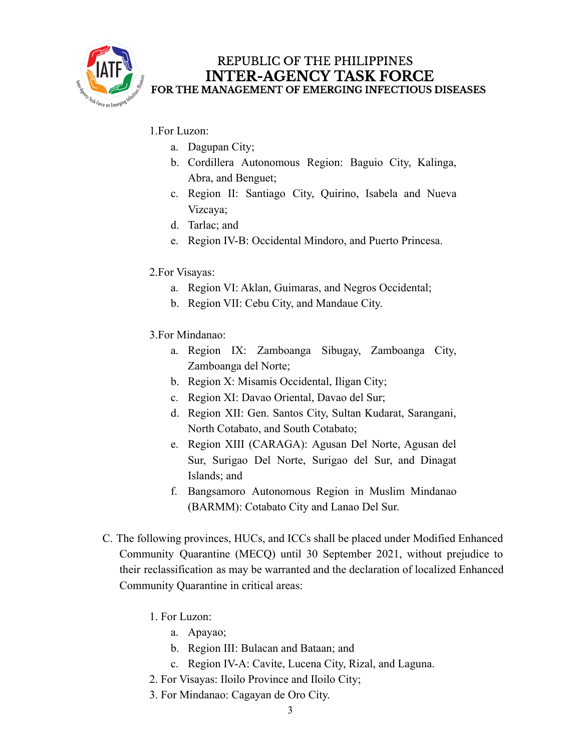

- 1.For Luzon:
	- a. Dagupan City;
	- b. Cordillera Autonomous Region: Baguio City, Kalinga, Abra, and Benguet;
	- c. Region II: Santiago City, Quirino, Isabela and Nueva Vizcaya;
	- d. Tarlac; and
	- e. Region IV-B: Occidental Mindoro, and Puerto Princesa.
- 2.For Visayas:
	- a. Region VI: Aklan, Guimaras, and Negros Occidental;
	- b. Region VII: Cebu City, and Mandaue City.
- 3.For Mindanao:
	- a. Region IX: Zamboanga Sibugay, Zamboanga City, Zamboanga del Norte;
	- b. Region X: Misamis Occidental, Iligan City;
	- c. Region XI: Davao Oriental, Davao del Sur;
	- d. Region XII: Gen. Santos City, Sultan Kudarat, Sarangani, North Cotabato, and South Cotabato;
	- e. Region XIII (CARAGA): Agusan Del Norte, Agusan del Sur, Surigao Del Norte, Surigao del Sur, and Dinagat Islands; and
	- f. Bangsamoro Autonomous Region in Muslim Mindanao (BARMM): Cotabato City and Lanao Del Sur.
- C. The following provinces, HUCs, and ICCs shall be placed under Modified Enhanced Community Quarantine (MECQ) until 30 September 2021, without prejudice to their reclassification as may be warranted and the declaration of localized Enhanced Community Quarantine in critical areas:
	- 1. For Luzon:
		- a. Apayao;
		- b. Region III: Bulacan and Bataan; and
		- c. Region IV-A: Cavite, Lucena City, Rizal, and Laguna.
	- 2. For Visayas: Iloilo Province and Iloilo City;
	- 3. For Mindanao: Cagayan de Oro City.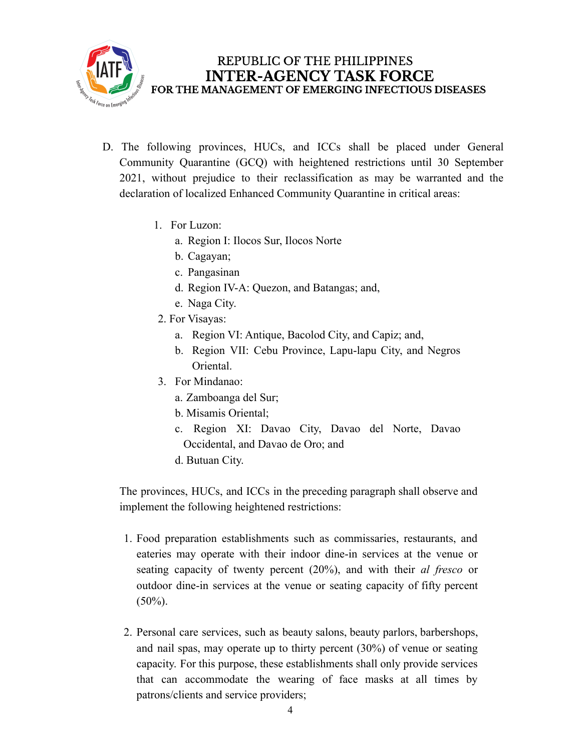

- D. The following provinces, HUCs, and ICCs shall be placed under General Community Quarantine (GCQ) with heightened restrictions until 30 September 2021, without prejudice to their reclassification as may be warranted and the declaration of localized Enhanced Community Quarantine in critical areas:
	- 1. For Luzon:
		- a. Region I: Ilocos Sur, Ilocos Norte
		- b. Cagayan;
		- c. Pangasinan
		- d. Region IV-A: Quezon, and Batangas; and,
		- e. Naga City.
	- 2. For Visayas:
		- a. Region VI: Antique, Bacolod City, and Capiz; and,
		- b. Region VII: Cebu Province, Lapu-lapu City, and Negros Oriental.
	- 3. For Mindanao:
		- a. Zamboanga del Sur;
		- b. Misamis Oriental;
		- c. Region XI: Davao City, Davao del Norte, Davao Occidental, and Davao de Oro; and
		- d. Butuan City.

The provinces, HUCs, and ICCs in the preceding paragraph shall observe and implement the following heightened restrictions:

- 1. Food preparation establishments such as commissaries, restaurants, and eateries may operate with their indoor dine-in services at the venue or seating capacity of twenty percent (20%), and with their *al fresco* or outdoor dine-in services at the venue or seating capacity of fifty percent  $(50\%)$ .
- 2. Personal care services, such as beauty salons, beauty parlors, barbershops, and nail spas, may operate up to thirty percent (30%) of venue or seating capacity. For this purpose, these establishments shall only provide services that can accommodate the wearing of face masks at all times by patrons/clients and service providers;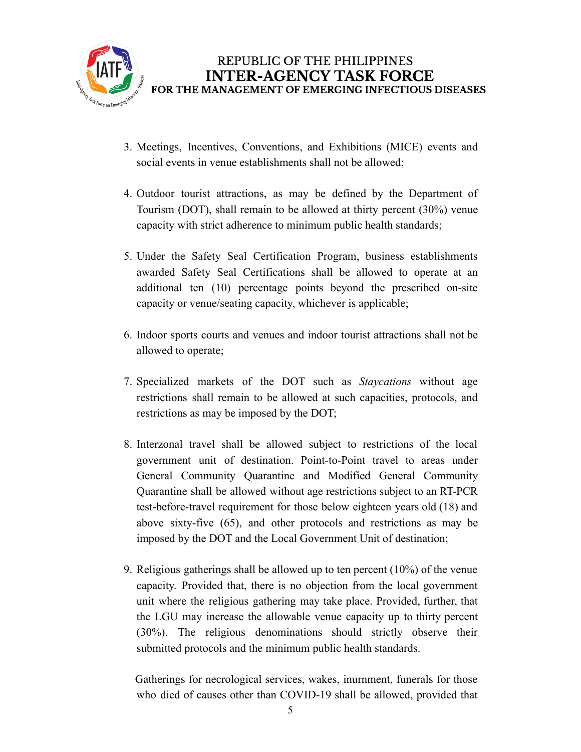

- 3. Meetings, Incentives, Conventions, and Exhibitions (MICE) events and social events in venue establishments shall not be allowed;
- 4. Outdoor tourist attractions, as may be defined by the Department of Tourism (DOT), shall remain to be allowed at thirty percent (30%) venue capacity with strict adherence to minimum public health standards;
- 5. Under the Safety Seal Certification Program, business establishments awarded Safety Seal Certifications shall be allowed to operate at an additional ten (10) percentage points beyond the prescribed on-site capacity or venue/seating capacity, whichever is applicable;
- 6. Indoor sports courts and venues and indoor tourist attractions shall not be allowed to operate;
- 7. Specialized markets of the DOT such as *Staycations* without age restrictions shall remain to be allowed at such capacities, protocols, and restrictions as may be imposed by the DOT;
- 8. Interzonal travel shall be allowed subject to restrictions of the local government unit of destination. Point-to-Point travel to areas under General Community Quarantine and Modified General Community Quarantine shall be allowed without age restrictions subject to an RT-PCR test-before-travel requirement for those below eighteen years old (18) and above sixty-five (65), and other protocols and restrictions as may be imposed by the DOT and the Local Government Unit of destination;
- 9. Religious gatherings shall be allowed up to ten percent (10%) of the venue capacity. Provided that, there is no objection from the local government unit where the religious gathering may take place. Provided, further, that the LGU may increase the allowable venue capacity up to thirty percent (30%). The religious denominations should strictly observe their submitted protocols and the minimum public health standards.

Gatherings for necrological services, wakes, inurnment, funerals for those who died of causes other than COVID-19 shall be allowed, provided that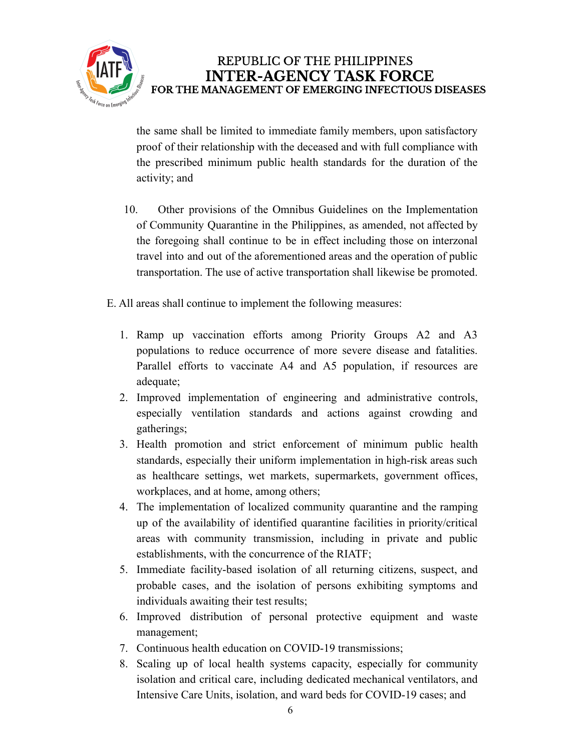

the same shall be limited to immediate family members, upon satisfactory proof of their relationship with the deceased and with full compliance with the prescribed minimum public health standards for the duration of the activity; and

- 10. Other provisions of the Omnibus Guidelines on the Implementation of Community Quarantine in the Philippines, as amended, not affected by the foregoing shall continue to be in effect including those on interzonal travel into and out of the aforementioned areas and the operation of public transportation. The use of active transportation shall likewise be promoted.
- E. All areas shall continue to implement the following measures:
	- 1. Ramp up vaccination efforts among Priority Groups A2 and A3 populations to reduce occurrence of more severe disease and fatalities. Parallel efforts to vaccinate A4 and A5 population, if resources are adequate;
	- 2. Improved implementation of engineering and administrative controls, especially ventilation standards and actions against crowding and gatherings;
	- 3. Health promotion and strict enforcement of minimum public health standards, especially their uniform implementation in high-risk areas such as healthcare settings, wet markets, supermarkets, government offices, workplaces, and at home, among others;
	- 4. The implementation of localized community quarantine and the ramping up of the availability of identified quarantine facilities in priority/critical areas with community transmission, including in private and public establishments, with the concurrence of the RIATF;
	- 5. Immediate facility-based isolation of all returning citizens, suspect, and probable cases, and the isolation of persons exhibiting symptoms and individuals awaiting their test results;
	- 6. Improved distribution of personal protective equipment and waste management;
	- 7. Continuous health education on COVID-19 transmissions;
	- 8. Scaling up of local health systems capacity, especially for community isolation and critical care, including dedicated mechanical ventilators, and Intensive Care Units, isolation, and ward beds for COVID-19 cases; and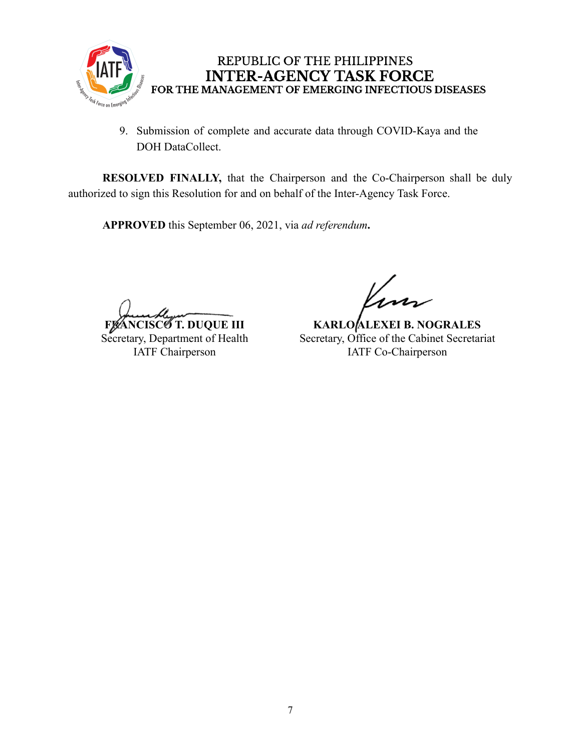

9. Submission of complete and accurate data through COVID-Kaya and the DOH DataCollect.

**RESOLVED FINALLY,** that the Chairperson and the Co-Chairperson shall be duly authorized to sign this Resolution for and on behalf of the Inter-Agency Task Force.

**APPROVED** this September 06, 2021, via *ad referendum***.**

**6** T. DUQUE III

Secretary, Department of Health IATF Chairperson

**KARLO ALEXEI B. NOGRALES** Secretary, Office of the Cabinet Secretariat IATF Co-Chairperson